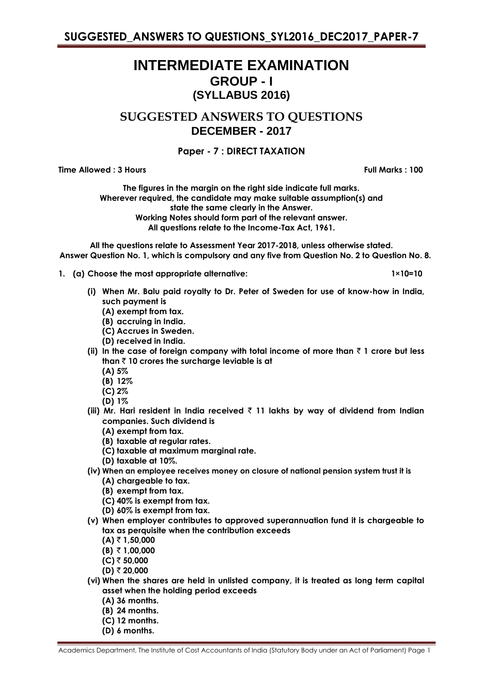# **INTERMEDIATE EXAMINATION GROUP - I (SYLLABUS 2016)**

**SUGGESTED ANSWERS TO QUESTIONS DECEMBER - 2017**

## **Paper - 7 : DIRECT TAXATION**

**Time Allowed : 3 Hours Full Marks : 100** 

**The figures in the margin on the right side indicate full marks. Wherever required, the candidate may make suitable assumption(s) and state the same clearly in the Answer. Working Notes should form part of the relevant answer. All questions relate to the Income-Tax Act, 1961.**

**All the questions relate to Assessment Year 2017-2018, unless otherwise stated. Answer Question No. 1, which is compulsory and any five from Question No. 2 to Question No. 8.**

**1. (a) Choose the most appropriate alternative: 1×10=10**

- **(i) When Mr. Balu paid royalty to Dr. Peter of Sweden for use of know-how in India, such payment is**
	- **(A) exempt from tax.**
	- **(B) accruing in India.**
	- **(C) Accrues in Sweden.**
	- **(D) received in India.**
- (ii) In the case of foreign company with total income of more than  $\bar{z}$  1 crore but less **than** ` **10 crores the surcharge leviable is at**
	- **(A) 5%**
	- **(B) 12%**
	- **(C) 2%**
	- **(D) 1%**
- **(iii) Mr. Hari resident in India received** ` **11 lakhs by way of dividend from Indian companies. Such dividend is**
	- **(A) exempt from tax.**
	- **(B) taxable at regular rates.**
	- **(C) taxable at maximum marginal rate.**
	- **(D) taxable at 10%.**
- **(iv) When an employee receives money on closure of national pension system trust it is (A) chargeable to tax.**
	- **(B) exempt from tax.**
	- **(C) 40% is exempt from tax.**
	- **(D) 60% is exempt from tax.**
- **(v) When employer contributes to approved superannuation fund it is chargeable to tax as perquisite when the contribution exceeds**
	- $(A)$  ₹ 1,50,000
	- **(B)** ` **1,00,000**
	- **(C)** ` **50,000**
	- **(D)** ` **20,000**
- **(vi) When the shares are held in unlisted company, it is treated as long term capital asset when the holding period exceeds**
	- **(A) 36 months.**
	- **(B) 24 months.**
	- **(C) 12 months.**
	- **(D) 6 months.**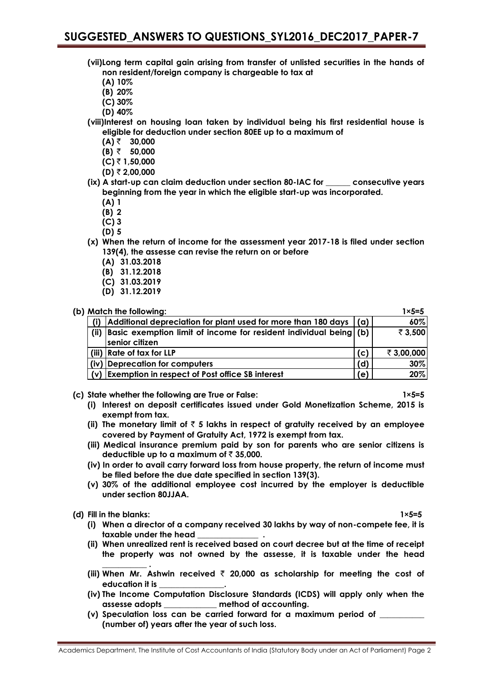- **(vii)Long term capital gain arising from transfer of unlisted securities in the hands of non resident/foreign company is chargeable to tax at**
	- **(A) 10%**
	- **(B) 20%**
	- **(C) 30%**
	- **(D) 40%**
- **(viii)Interest on housing loan taken by individual being his first residential house is eligible for deduction under section 80EE up to a maximum of**
	- **(A)** ` **30,000**
	- **(B)** ` **50,000**
	- **(C)** ` **1,50,000**
	- **(D)** ` **2,00,000**
- **(ix) A start-up can claim deduction under section 80-IAC for \_\_\_\_\_\_ consecutive years beginning from the year in which the eligible start-up was incorporated.**
	- **(A) 1**
	- **(B) 2**
	- **(C) 3**
	- **(D) 5**
- **(x) When the return of income for the assessment year 2017-18 is filed under section 139(4), the assesse can revise the return on or before**
	- **(A) 31.03.2018**
	- **(B) 31.12.2018**
	- **(C) 31.03.2019**
	- **(D) 31.12.2019**

|      | (b) Match the following:                                                            |     | $1 \times 5 = 5$ |
|------|-------------------------------------------------------------------------------------|-----|------------------|
| (i)  | Additional depreciation for plant used for more than 180 days                       | (a) | 60%              |
| (ii) | Basic exemption limit of income for resident individual being (b)<br>senior citizen |     | ₹ 3,500          |
|      | (iii) Rate of tax for LLP                                                           | (c) | ₹ 3,00,000       |
|      | (iv) Deprecation for computers                                                      | (d) | 30%              |
|      | (v) Exemption in respect of Post office SB interest                                 | (e) | 20%              |

- **(c) State whether the following are True or False: 1×5=5**
	- **(i) Interest on deposit certificates issued under Gold Monetization Scheme, 2015 is exempt from tax.**
	- (ii) The monetary limit of  $\bar{\tau}$  5 lakhs in respect of gratuity received by an employee **covered by Payment of Gratuity Act, 1972 is exempt from tax.**
	- **(iii) Medical insurance premium paid by son for parents who are senior citizens is deductible up to a maximum of**  $\bar{\tau}$  **35,000.**
	- **(iv) In order to avail carry forward loss from house property, the return of income must be filed before the due date specified in section 139(3).**
	- **(v) 30% of the additional employee cost incurred by the employer is deductible under section 80JJAA.**

**(d) Fill in the blanks: 1×5=5**

**\_\_\_\_\_\_\_\_\_\_\_ .**

- 
- **(i) When a director of a company received 30 lakhs by way of non-compete fee, it is taxable under the head \_\_\_\_\_\_\_\_\_\_\_\_\_\_\_ .**
- **(ii) When unrealized rent is received based on court decree but at the time of receipt the property was not owned by the assesse, it is taxable under the head**
- **(iii) When Mr. Ashwin received** ` **20,000 as scholarship for meeting the cost of education it is \_\_\_\_\_\_\_\_\_\_\_\_\_\_\_\_.**
- **(iv) The Income Computation Disclosure Standards (ICDS) will apply only when the assesse adopts \_\_\_\_\_\_\_\_\_\_\_\_\_ method of accounting.**
- (v) Speculation loss can be carried forward for a maximum period of **(number of) years after the year of such loss.**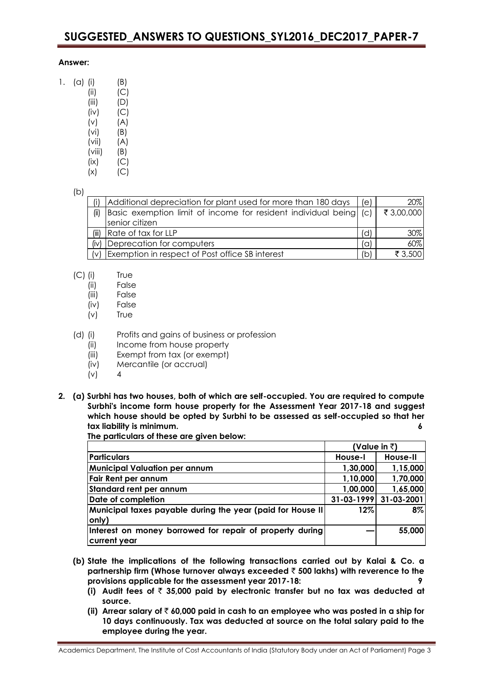## **Answer:**

| 1. | (a) | (i)    | (B) |
|----|-----|--------|-----|
|    |     | (ii)   | (C) |
|    |     | (iii)  | (D) |
|    |     | (iv)   | (C) |
|    |     | (v)    | (A) |
|    |     | (vi)   | (B) |
|    |     | (vii)  | (A) |
|    |     | (viii) | (B) |
|    |     | (ix)   | (C) |

## $(x)$   $(C)$

## (b)

| (i)     | Additional depreciation for plant used for more than 180 days     | (e) | $20\%$     |
|---------|-------------------------------------------------------------------|-----|------------|
| (ii)    | Basic exemption limit of income for resident individual being (c) |     | ₹ 3,00,000 |
|         | senior citizen                                                    |     |            |
| (iii)   | Rate of tax for LLP                                               | (d) | 30%        |
| (iv)    | Deprecation for computers                                         | (a) | 60%        |
| $\{v\}$ | Exemption in respect of Post office SB interest                   | (b) | ₹ 3,500    |

- (C) (i) True
	- (ii) False
	- (iii) False
	- (iv) False
	- (v) True
- (d) (i) Profits and gains of business or profession
	- (ii) Income from house property
	- (iii) Exempt from tax (or exempt)
	- (iv) Mercantile (or accrual)
	- $(v)$  4
- **2. (a) Surbhi has two houses, both of which are self-occupied. You are required to compute Surbhi's income form house property for the Assessment Year 2017-18 and suggest which house should be opted by Surbhi to be assessed as self-occupied so that her tax liability is minimum. 6**

**The particulars of these are given below:**

|                                                             | (Value in $\bar{z}$ ) |            |
|-------------------------------------------------------------|-----------------------|------------|
| <b>Particulars</b>                                          | House-I               | House-II   |
| <b>Municipal Valuation per annum</b>                        | 1,30,000              | 1,15,000   |
| Fair Rent per annum                                         | 1,10,000              | 1,70,000   |
| Standard rent per annum                                     | 1,00,000              | 1,65,000   |
| Date of completion                                          | $31 - 03 - 1999$      | 31-03-2001 |
| Municipal taxes payable during the year (paid for House II) | 12%                   | $8\%$      |
| only)                                                       |                       |            |
| Interest on money borrowed for repair of property during    |                       | 55,000     |
| current year                                                |                       |            |

- **(b) State the implications of the following transactions carried out by Kalai & Co. a partnership firm (Whose turnover always exceeded** ` **500 lakhs) with reverence to the provisions applicable for the assessment year 2017-18: 9**
	- (i) Audit fees of  $\bar{\tau}$  35,000 paid by electronic transfer but no tax was deducted at **source.**
	- **(ii) Arrear salary of** ` **60,000 paid in cash to an employee who was posted in a ship for 10 days continuously. Tax was deducted at source on the total salary paid to the employee during the year.**

Academics Department, The Institute of Cost Accountants of India (Statutory Body under an Act of Parliament) Page 3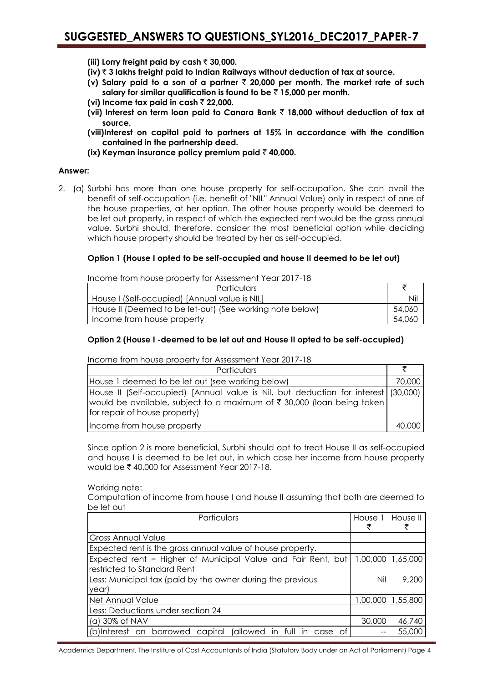- **(iii) Lorry freight paid by cash ₹ 30,000.**
- **(iv)** ` **3 lakhs freight paid to Indian Railways without deduction of tax at source.**
- **(v) Salary paid to a son of a partner** ` **20,000 per month. The market rate of such**  salary for similar qualification is found to be  $\bar{z}$  15,000 per month.
- **(vi) Income tax paid in cash** ` **22,000.**
- **(vii) Interest on term loan paid to Canara Bank** ` **18,000 without deduction of tax at source.**
- **(viii)Interest on capital paid to partners at 15% in accordance with the condition contained in the partnership deed.**
- **(ix) Keyman insurance policy premium paid** ` **40,000.**

## **Answer:**

2. (a) Surbhi has more than one house property for self-occupation. She can avail the benefit of self-occupation (i.e. benefit of "NIL" Annual Value) only in respect of one of the house properties, at her option. The other house property would be deemed to be let out property, in respect of which the expected rent would be the gross annual value. Surbhi should, therefore, consider the most beneficial option while deciding which house property should be treated by her as self-occupied.

## **Option 1 (House I opted to be self-occupied and house II deemed to be let out)**

Income from house property for Assessment Year 2017-18

| <b>Particulars</b>                                       |         |
|----------------------------------------------------------|---------|
| House I (Self-occupied) [Annual value is NIL]            | Nil     |
| House II (Deemed to be let-out) (See working note below) | 54,060  |
| Income from house property                               | -54.060 |

## **Option 2 (House I -deemed to be let out and House II opted to be self-occupied)**

Income from house property for Assessment Year 2017-18

| Particulars                                                                                                                                                                                      |        |
|--------------------------------------------------------------------------------------------------------------------------------------------------------------------------------------------------|--------|
| House 1 deemed to be let out (see working below)                                                                                                                                                 | 70,000 |
| House II (Self-occupied) [Annual value is Nil, but deduction for interest (30,000)]<br> would be available, subject to a maximum of ₹ 30,000 (loan being taken)<br>for repair of house property) |        |
| Income from house property                                                                                                                                                                       | 40,000 |

Since option 2 is more beneficial, Surbhi should opt to treat House II as self-occupied and house I is deemed to be let out, in which case her income from house property would be  $\bar{\tau}$  40,000 for Assessment Year 2017-18.

Working note:

Computation of income from house I and house II assuming that both are deemed to be let out

| Particulars                                                  | House 1             | House II |
|--------------------------------------------------------------|---------------------|----------|
| Gross Annual Value                                           |                     |          |
| Expected rent is the gross annual value of house property.   |                     |          |
| Expected rent = Higher of Municipal Value and Fair Rent, but | 1,00,000   1,65,000 |          |
| Irestricted to Standard Rent                                 |                     |          |
| Less: Municipal tax (paid by the owner during the previous   | Nil                 | 9,200    |
| year)                                                        |                     |          |
| Net Annual Value                                             | 1,00,000            | 1,55,800 |
| Less: Deductions under section 24                            |                     |          |
| $(a)$ 30% of NAV                                             | 30,000              | 46,740   |
| (b)Interest on borrowed capital (allowed in full in case of  |                     | 55,000   |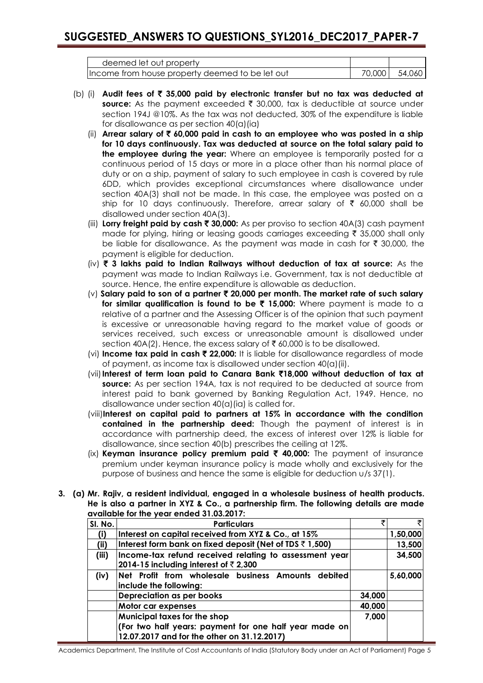| deemed let out property                         |        |        |
|-------------------------------------------------|--------|--------|
| Income from house property deemed to be let out | 70,000 | 54,060 |

- (b) (i) **Audit fees of** ` **35,000 paid by electronic transfer but no tax was deducted at**  source: As the payment exceeded ₹ 30,000, tax is deductible at source under section 194J @10%. As the tax was not deducted, 30% of the expenditure is liable for disallowance as per section 40(a)(ia)
	- (ii) **Arrear salary of** ` **60,000 paid in cash to an employee who was posted in a ship for 10 days continuously. Tax was deducted at source on the total salary paid to the employee during the year:** Where an employee is temporarily posted for a continuous period of 15 days or more in a place other than his normal place of duty or on a ship, payment of salary to such employee in cash is covered by rule 6DD, which provides exceptional circumstances where disallowance under section 40A(3) shall not be made. In this case, the employee was posted on a ship for 10 days continuously. Therefore, arrear salary of  $\bar{\tau}$  60,000 shall be disallowed under section 40A(3).
	- (iii) **Lorry freight paid by cash** ` **30,000:** As per proviso to section 40A(3) cash payment made for plying, hiring or leasing goods carriages exceeding  $\bar{\tau}$  35,000 shall only be liable for disallowance. As the payment was made in cash for  $\bar{\tau}$  30,000, the payment is eligible for deduction.
	- (iv) ` **3 lakhs paid to Indian Railways without deduction of tax at source:** As the payment was made to Indian Railways i.e. Government, tax is not deductible at source. Hence, the entire expenditure is allowable as deduction.
	- (v) **Salary paid to son of a partner** ` **20,000 per month. The market rate of such salary for similar qualification is found to be** ` **15,000:** Where payment is made to a relative of a partner and the Assessing Officer is of the opinion that such payment is excessive or unreasonable having regard to the market value of goods or services received, such excess or unreasonable amount is disallowed under section 40A(2). Hence, the excess salary of  $\bar{\tau}$  60,000 is to be disallowed.
	- (vi) **Income tax paid in cash**  $\bar{\tau}$  **22,000:** It is liable for disallowance regardless of mode of payment, as income tax is disallowed under section 40(a)(ii).
	- (vii)**Interest of term loan paid to Canara Bank** `**18,000 without deduction of tax at source:** As per section 194A, tax is not required to be deducted at source from interest paid to bank governed by Banking Regulation Act, 1949. Hence, no disallowance under section 40(a)(ia) is called for.
	- (viii)**Interest on capital paid to partners at 15% in accordance with the condition contained in the partnership deed:** Though the payment of interest is in accordance with partnership deed, the excess of interest over 12% is liable for disallowance, since section 40(b) prescribes the ceiling at 12%.
	- (ix) **Keyman insurance policy premium paid** ` **40,000:** The payment of insurance premium under keyman insurance policy is made wholly and exclusively for the purpose of business and hence the same is eligible for deduction u/s 37(1).
- **3. (a) Mr. Rajiv, a resident individual, engaged in a wholesale business of health products. He is also a partner in XYZ & Co., a partnership firm. The following details are made available for the year ended 31.03.2017:**

| SI. No. | <b>Particulars</b>                                                                                      |        | ₹        |
|---------|---------------------------------------------------------------------------------------------------------|--------|----------|
| (i)     | Interest on capital received from XYZ & Co., at 15%                                                     |        | 1,50,000 |
| (ii)    | Interest form bank on fixed deposit (Net of TDS $\bar{z}$ 1,500)                                        |        | 13,500   |
| (iii)   | Income-tax refund received relating to assessment year<br>2014-15 including interest of $\bar{z}$ 2,300 |        | 34,500   |
| (iv)    | Net Profit from wholesale business Amounts debited<br>include the following:                            |        | 5,60,000 |
|         | Depreciation as per books                                                                               | 34,000 |          |
|         | Motor car expenses                                                                                      | 40,000 |          |
|         | Municipal taxes for the shop                                                                            | 7,000  |          |
|         | (For two half years: payment for one half year made on<br>12.07.2017 and for the other on 31.12.2017)   |        |          |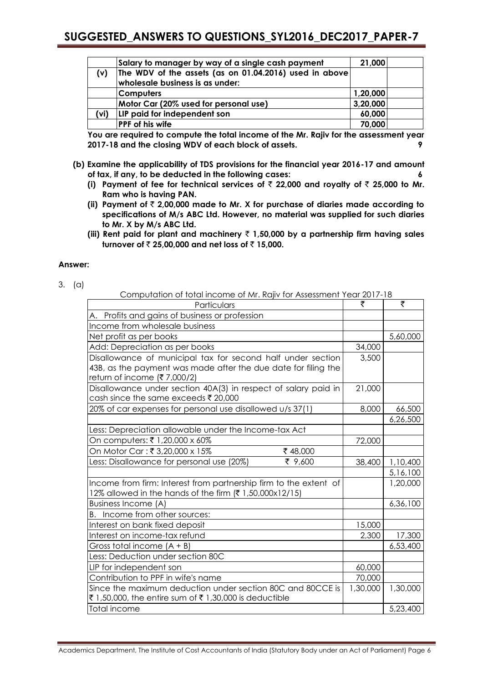|      | Salary to manager by way of a single cash payment      | 21,000   |  |
|------|--------------------------------------------------------|----------|--|
| (v)  | The WDV of the assets (as on 01.04.2016) used in above |          |  |
|      | wholesale business is as under:                        |          |  |
|      | <b>Computers</b>                                       | 1,20,000 |  |
|      | Motor Car (20% used for personal use)                  | 3,20,000 |  |
| (vi) | LIP paid for independent son                           | 60,000   |  |
|      | <b>PPF of his wife</b>                                 | 70,000   |  |

**You are required to compute the total income of the Mr. Rajiv for the assessment year 2017-18 and the closing WDV of each block of assets. 9**

- **(b) Examine the applicability of TDS provisions for the financial year 2016-17 and amount of tax, if any, to be deducted in the following cases: 6**
	- (i) Payment of fee for technical services of  $\bar{\tau}$  22,000 and royalty of  $\bar{\tau}$  25,000 to Mr. **Ram who is having PAN.**
	- **(ii) Payment of** ` **2,00,000 made to Mr. X for purchase of diaries made according to specifications of M/s ABC Ltd. However, no material was supplied for such diaries to Mr. X by M/s ABC Ltd.**
	- **(iii) Rent paid for plant and machinery** ` **1,50,000 by a partnership firm having sales turnover of** ` **25,00,000 and net loss of** ` **15,000.**

## **Answer:**

|--|--|

Computation of total income of Mr. Rajiv for Assessment Year 2017-18

| Comportation of fortal income of twittingly for 7 assessment from 2017<br>Particulars                                                                        | ₹        | ₹        |
|--------------------------------------------------------------------------------------------------------------------------------------------------------------|----------|----------|
| A. Profits and gains of business or profession                                                                                                               |          |          |
| Income from wholesale business                                                                                                                               |          |          |
| Net profit as per books                                                                                                                                      |          | 5,60,000 |
| Add: Depreciation as per books                                                                                                                               | 34,000   |          |
| Disallowance of municipal tax for second half under section<br>43B, as the payment was made after the due date for filing the<br>return of income (₹7,000/2) | 3,500    |          |
| Disallowance under section 40A(3) in respect of salary paid in<br>cash since the same exceeds ₹ 20,000                                                       | 21,000   |          |
| 20% of car expenses for personal use disallowed u/s 37(1)                                                                                                    | 8,000    | 66,500   |
|                                                                                                                                                              |          | 6,26,500 |
| Less: Depreciation allowable under the Income-tax Act                                                                                                        |          |          |
| On computers: ₹ 1,20,000 x 60%                                                                                                                               | 72,000   |          |
| On Motor Car: ₹3,20,000 x 15%<br>₹48,000                                                                                                                     |          |          |
| ₹ 9,600<br>Less: Disallowance for personal use (20%)                                                                                                         | 38,400   | 1,10,400 |
|                                                                                                                                                              |          | 5,16,100 |
| Income from firm: Interest from partnership firm to the extent of<br>12% allowed in the hands of the firm (₹1,50,000x12/15)                                  |          | 1,20,000 |
| <b>Business Income (A)</b>                                                                                                                                   |          | 6,36,100 |
| B. Income from other sources:                                                                                                                                |          |          |
| Interest on bank fixed deposit                                                                                                                               | 15,000   |          |
| Interest on income-tax refund                                                                                                                                | 2,300    | 17,300   |
| Gross total income $(A + B)$                                                                                                                                 |          | 6,53,400 |
| Less: Deduction under section 80C                                                                                                                            |          |          |
| LIP for independent son                                                                                                                                      | 60,000   |          |
| Contribution to PPF in wife's name                                                                                                                           | 70,000   |          |
| Since the maximum deduction under section 80C and 80CCE is<br>₹1,50,000, the entire sum of ₹1,30,000 is deductible                                           | 1,30,000 | 1,30,000 |
| Total income                                                                                                                                                 |          | 5,23,400 |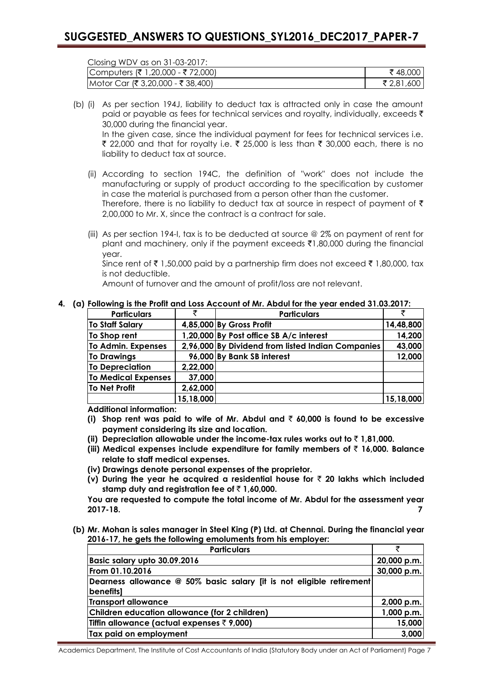Closing WDV as on 31-03-2017:

| Computers (₹ 1,20,000 - ₹ 72,000) | ₹48,000 I  |
|-----------------------------------|------------|
| Motor Car (₹ 3,20,000 - ₹ 38,400) | ₹ 2,81,600 |

- (b) (i) As per section 194J, liability to deduct tax is attracted only in case the amount paid or payable as fees for technical services and royalty, individually, exceeds  $\bar{\tau}$ 30,000 during the financial year. In the given case, since the individual payment for fees for technical services i.e. ₹ 22,000 and that for royalty i.e. ₹ 25,000 is less than ₹ 30,000 each, there is no liability to deduct tax at source.
	- (ii) According to section 194C, the definition of "work" does not include the manufacturing or supply of product according to the specification by customer in case the material is purchased from a person other than the customer. Therefore, there is no liability to deduct tax at source in respect of payment of  $\bar{\tau}$ 2,00,000 to Mr. X, since the contract is a contract for sale.
	- (iii) As per section 194-I, tax is to be deducted at source @ 2% on payment of rent for plant and machinery, only if the payment exceeds  $\bar{\tau}1,80,000$  during the financial year.

Since rent of  $\bar{\tau}$  1,50,000 paid by a partnership firm does not exceed  $\bar{\tau}$  1,80,000, tax is not deductible.

Amount of turnover and the amount of profit/loss are not relevant.

#### **4. (a) Following is the Profit and Loss Account of Mr. Abdul for the year ended 31.03.2017:**

| <b>Particulars</b>         | ₹         | <b>Particulars</b>                                |           |
|----------------------------|-----------|---------------------------------------------------|-----------|
| To Staff Salary            |           | 4,85,000 By Gross Profit                          | 14,48,800 |
| To Shop rent               |           | 1,20,000 By Post office SB A/c interest           | 14,200    |
| To Admin. Expenses         |           | 2,96,000 By Dividend from listed Indian Companies | 43,000    |
| <b>To Drawings</b>         |           | 96,000 By Bank SB interest                        | 12,000    |
| <b>To Depreciation</b>     | 2,22,000  |                                                   |           |
| <b>To Medical Expenses</b> | 37,000    |                                                   |           |
| <b>To Net Profit</b>       | 2,62,000  |                                                   |           |
|                            | 15,18,000 |                                                   | 15,18,000 |

**Additional information:** 

- **(i) Shop rent was paid to wife of Mr. Abdul and** ` **60,000 is found to be excessive payment considering its size and location.**
- **(ii) Depreciation allowable under the income-tax rules works out to**  $\bar{\tau}$  **1,81,000.**
- **(iii) Medical expenses include expenditure for family members of** ` **16,000. Balance relate to staff medical expenses.**
- **(iv) Drawings denote personal expenses of the proprietor.**
- **(v) During the year he acquired a residential house for** ` **20 lakhs which included**  stamp duty and reaistration fee of  $\bar{\tau}$  1.60,000.

**You are requested to compute the total income of Mr. Abdul for the assessment year 2017-18. 7**

**(b) Mr. Mohan is sales manager in Steel King (P) Ltd. at Chennai. During the financial year 2016-17, he gets the following emoluments from his employer:**

| <b>Particulars</b>                                                   | ₹           |
|----------------------------------------------------------------------|-------------|
| Basic salary upto 30.09.2016                                         | 20,000 p.m. |
| From 01.10.2016                                                      | 30,000 p.m. |
| Dearness allowance @ 50% basic salary [it is not eligible retirement |             |
| <b>benefits</b>                                                      |             |
| Transport allowance                                                  | 2,000 p.m.  |
| Children education allowance (for 2 children)                        | 1,000 p.m.  |
| Tiffin allowance (actual expenses $\bar{\tau}$ 9,000)                | 15,000      |
| Tax paid on employment                                               | 3,000       |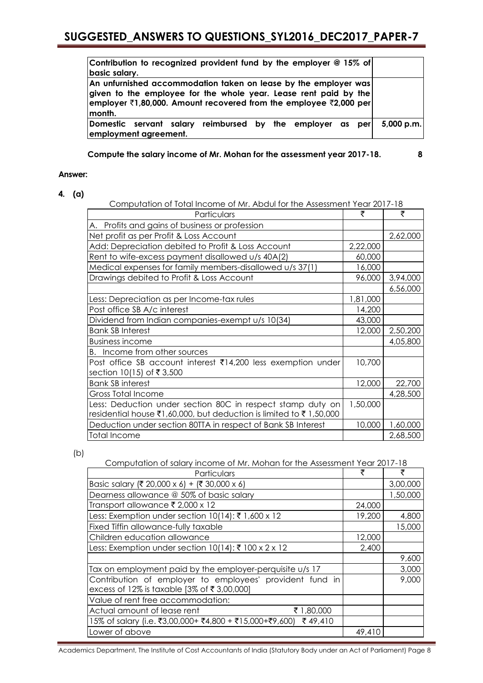| Contribution to recognized provident fund by the employer @ 15% of<br>basic salary.                                                                                                                                                        |              |
|--------------------------------------------------------------------------------------------------------------------------------------------------------------------------------------------------------------------------------------------|--------------|
| An unfurnished accommodation taken on lease by the employer was<br>given to the employee for the whole year. Lease rent paid by the<br>employer $\bar{\tau}$ 1,80,000. Amount recovered from the employee $\bar{\tau}$ 2,000 per<br>month. |              |
| Domestic servant salary reimbursed by the employer as per<br>employment agreement.                                                                                                                                                         | $5,000$ p.m. |

**Compute the salary income of Mr. Mohan for the assessment year 2017-18. 8**

## **Answer:**

## **4. (a)**

| Computation of Total Income of Mr. Abdul for the Assessment Year 2017-18 |          |          |
|--------------------------------------------------------------------------|----------|----------|
| Particulars                                                              |          | ₹        |
| A. Profits and gains of business or profession                           |          |          |
| Net profit as per Profit & Loss Account                                  |          | 2,62,000 |
| Add: Depreciation debited to Profit & Loss Account                       | 2,22,000 |          |
| Rent to wife-excess payment disallowed u/s 40A(2)                        | 60,000   |          |
| Medical expenses for family members-disallowed u/s 37(1)                 | 16,000   |          |
| Drawings debited to Profit & Loss Account                                | 96,000   | 3,94,000 |
|                                                                          |          | 6,56,000 |
| Less: Depreciation as per Income-tax rules                               | 1,81,000 |          |
| Post office SB A/c interest                                              | 14,200   |          |
| Dividend from Indian companies-exempt u/s 10(34)                         | 43,000   |          |
| <b>Bank SB Interest</b>                                                  | 12,000   | 2,50,200 |
| <b>Business income</b>                                                   |          | 4,05,800 |
| B. Income from other sources                                             |          |          |
| Post office SB account interest ₹14,200 less exemption under             | 10,700   |          |
| section 10(15) of ₹3,500                                                 |          |          |
| <b>Bank SB interest</b>                                                  | 12,000   | 22,700   |
| <b>Gross Total Income</b>                                                |          | 4,28,500 |
| Less: Deduction under section 80C in respect stamp duty on               | 1,50,000 |          |
| residential house ₹1,60,000, but deduction is limited to ₹1,50,000       |          |          |
| Deduction under section 80TTA in respect of Bank SB Interest             | 10,000   | 1,60,000 |
| Total Income                                                             |          | 2,68,500 |

(b)

Computation of salary income of Mr. Mohan for the Assessment Year 2017-18

| Particulars                                                                                            | ₹      | ₹        |
|--------------------------------------------------------------------------------------------------------|--------|----------|
| Basic salary (₹ 20,000 x 6) + (₹ 30,000 x 6)                                                           |        | 3,00,000 |
| Dearness allowance @ 50% of basic salary                                                               |        | 1,50,000 |
| Transport allowance ₹ 2,000 x 12                                                                       | 24,000 |          |
| Less: Exemption under section 10(14): ₹ 1,600 x 12                                                     | 19,200 | 4,800    |
| Fixed Tiffin allowance-fully taxable                                                                   |        | 15,000   |
| Children education allowance                                                                           | 12,000 |          |
| Less: Exemption under section $10(14)$ : ₹ 100 x 2 x 12                                                | 2,400  |          |
|                                                                                                        |        | 9,600    |
| Tax on employment paid by the employer-perquisite u/s 17                                               |        | 3,000    |
| Contribution of employer to employees' provident fund in<br>excess of 12% is taxable [3% of ₹3,00,000] |        | 9,000    |
| Value of rent free accommodation:                                                                      |        |          |
| Actual amount of lease rent<br>₹ 1,80,000                                                              |        |          |
| 15% of salary (i.e. ₹3,00,000+ ₹4,800 + ₹15,000+₹9,600) ₹ 49,410                                       |        |          |
| Lower of above                                                                                         | 49,410 |          |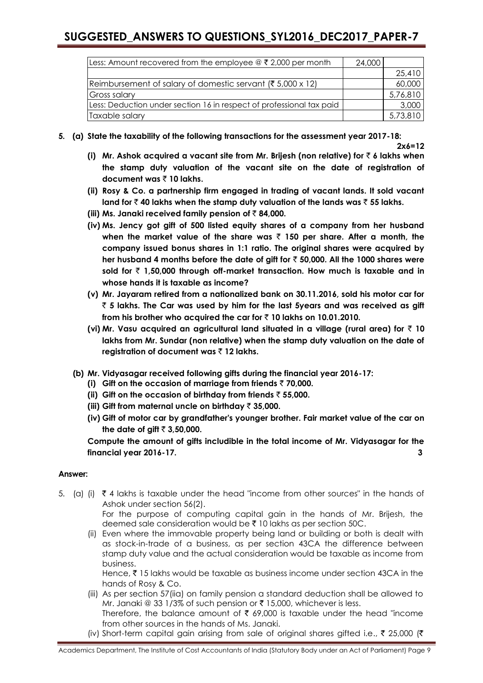| Less: Amount recovered from the employee $\circledcirc \in 2,000$ per month | 24,000 |          |
|-----------------------------------------------------------------------------|--------|----------|
|                                                                             |        | 25,410   |
| Reimbursement of salary of domestic servant (₹ 5,000 x 12)                  |        | 60,000   |
| <b>Gross salary</b>                                                         |        | 5,76,810 |
| Less: Deduction under section 16 in respect of professional tax paid        |        | 3,000    |
| Taxable salary                                                              |        | 5,73,810 |

**5. (a) State the taxability of the following transactions for the assessment year 2017-18:** 

**2x6=12**

- **(i) Mr. Ashok acquired a vacant site from Mr. Brijesh (non relative) for** ` **6 lakhs when the stamp duty valuation of the vacant site on the date of registration of document was** ` **10 lakhs.**
- **(ii) Rosy & Co. a partnership firm engaged in trading of vacant lands. It sold vacant land for** ` **40 lakhs when the stamp duty valuation of the lands was** ` **55 lakhs.**
- **(iii) Ms. Janaki received family pension of** ` **84,000.**
- **(iv) Ms. Jency got gift of 500 listed equity shares of a company from her husband when the market value of the share was** ` **150 per share. After a month, the company issued bonus shares in 1:1 ratio. The original shares were acquired by her husband 4 months before the date of gift for** ` **50,000. All the 1000 shares were sold for** ` **1,50,000 through off-market transaction. How much is taxable and in whose hands it is taxable as income?**
- **(v) Mr. Jayaram retired from a nationalized bank on 30.11.2016, sold his motor car for**  ` **5 lakhs. The Car was used by him for the last 5years and was received as gift from his brother who acquired the car for** ` **10 lakhs on 10.01.2010.**
- **(vi) Mr. Vasu acquired an agricultural land situated in a village (rural area) for** ` **10 lakhs from Mr. Sundar (non relative) when the stamp duty valuation on the date of registration of document was** ` **12 lakhs.**
- **(b) Mr. Vidyasagar received following gifts during the financial year 2016-17:**
	- **(i) Gift on the occasion of marriage from friends** ` **70,000.**
	- **(ii) Gift on the occasion of birthday from friends** ` **55,000.**
	- **(iii) Gift from maternal uncle on birthday** ` **35,000.**
	- **(iv) Gift of motor car by grandfather's younger brother. Fair market value of the car on**  the date of gift  $\bar{z}$  3,50,000.

**Compute the amount of gifts includible in the total income of Mr. Vidyasagar for the financial year 2016-17. 3**

## **Answer:**

5. (a) (i)  $\bar{\zeta}$  4 lakhs is taxable under the head "income from other sources" in the hands of Ashok under section 56(2).

For the purpose of computing capital gain in the hands of Mr. Brijesh, the deemed sale consideration would be  $\bar{\tau}$  10 lakhs as per section 50C.

(ii) Even where the immovable property being land or building or both is dealt with as stock-in-trade of a business, as per section 43CA the difference between stamp duty value and the actual consideration would be taxable as income from business.

Hence,  $\bar{\tau}$  15 lakhs would be taxable as business income under section 43CA in the hands of Rosy & Co.

- (iii) As per section 57(iia) on family pension a standard deduction shall be allowed to Mr. Janaki @ 33 1/3% of such pension or  $\bar{\tau}$  15,000, whichever is less. Therefore, the balance amount of  $\bar{\tau}$  69,000 is taxable under the head "income
- from other sources in the hands of Ms. Janaki. (iv) Short-term capital gain arising from sale of original shares gifted i.e.,  $\bar{\tau}$  25,000 ( $\bar{\tau}$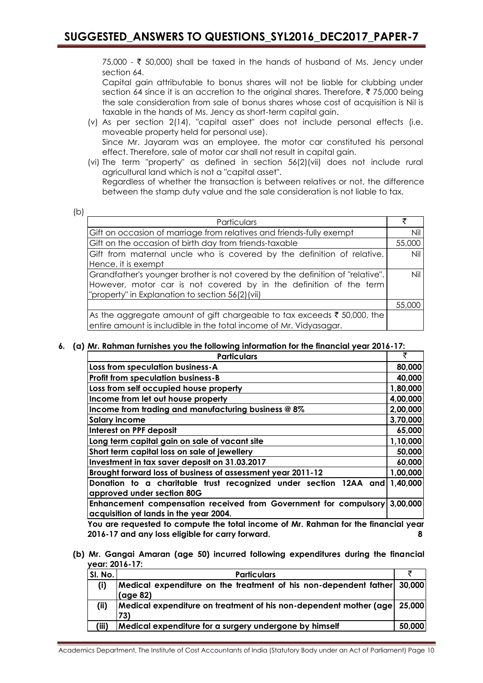75,000 - ₹ 50,000) shall be taxed in the hands of husband of Ms. Jency under section 64.

Capital gain attributable to bonus shares will not be liable for clubbing under section 64 since it is an accretion to the original shares. Therefore,  $\bar{\tau}$  75,000 being the sale consideration from sale of bonus shares whose cost of acquisition is Nil is taxable in the hands of Ms. Jency as short-term capital gain.

- (v) As per section 2(14), "capital asset" does not include personal effects (i.e. moveable property held for personal use). Since Mr. Jayaram was an employee, the motor car constituted his personal effect. Therefore, sale of motor car shall not result in capital gain.
- (vi) The term "property" as defined in section 56(2)(vii) does not include rural agricultural land which is not a "capital asset". Regardless of whether the transaction is between relatives or not, the difference

between the stamp duty value and the sale consideration is not liable to tax.

| e e                 |  |
|---------------------|--|
| ۰.<br>i<br>۰,<br>۰. |  |

| Particulars                                                                        |        |
|------------------------------------------------------------------------------------|--------|
| Gift on occasion of marriage from relatives and friends-fully exempt               | Nil    |
| Gift on the occasion of birth day from friends-taxable                             | 55,000 |
| Gift from maternal uncle who is covered by the definition of relative.             | Nil    |
| Hence, it is exempt                                                                |        |
| Grandfather's younger brother is not covered by the definition of "relative".      | Nil    |
| However, motor car is not covered by in the definition of the term                 |        |
| "property" in Explanation to section 56(2)(vii)                                    |        |
|                                                                                    | 55,000 |
| As the aggregate amount of gift chargeable to tax exceeds $\bar{\tau}$ 50,000, the |        |
| entire amount is includible in the total income of Mr. Vidyasagar.                 |        |

**6. (a) Mr. Rahman furnishes you the following information for the financial year 2016-17:**

| <b>Particulars</b>                                                                                                  | ₹        |
|---------------------------------------------------------------------------------------------------------------------|----------|
| Loss from speculation business-A                                                                                    | 80,000   |
| <b>Profit from speculation business-B</b>                                                                           | 40,000   |
| Loss from self occupied house property                                                                              | 1,80,000 |
| Income from let out house property                                                                                  | 4,00,000 |
| Income from trading and manufacturing business @ 8%                                                                 | 2,00,000 |
| <b>Salary income</b>                                                                                                | 3,70,000 |
| Interest on PPF deposit                                                                                             | 65,000   |
| Long term capital gain on sale of vacant site                                                                       | 1,10,000 |
| Short term capital loss on sale of jewellery                                                                        | 50,000   |
| Investment in tax saver deposit on 31.03.2017                                                                       | 60,000   |
| Brought forward loss of business of assessment year 2011-12                                                         | 1,00,000 |
| Donation to a charitable trust recognized under section 12AA and                                                    | 1,40,000 |
| approved under section 80G                                                                                          |          |
| Enhancement compensation received from Government for compulsory 3,00,000<br>acquisition of lands in the year 2004. |          |

**You are requested to compute the total income of Mr. Rahman for the financial year 2016-17 and any loss eligible for carry forward. 8**

**(b) Mr. Gangai Amaran (age 50) incurred following expenditures during the financial year: 2016-17:**

| SI. No. | <b>Particulars</b>                                                        |        |
|---------|---------------------------------------------------------------------------|--------|
| (i)     | Medical expenditure on the treatment of his non-dependent father 30,000   |        |
|         | (age 82)                                                                  |        |
| (ii)    | Medical expenditure on treatment of his non-dependent mother (age 25,000) |        |
|         | 73)                                                                       |        |
| (iii)   | Medical expenditure for a surgery undergone by himself                    | 50,000 |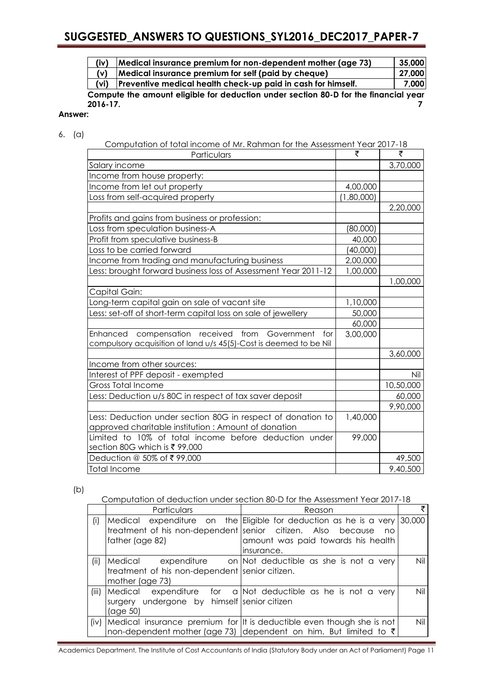| (iv)                                                                                | Medical insurance premium for non-dependent mother (age 73)         | 35,000 |
|-------------------------------------------------------------------------------------|---------------------------------------------------------------------|--------|
| (v)                                                                                 | Medical insurance premium for self (paid by cheque)                 | 27,000 |
| (vi)                                                                                | <b>Preventive medical health check-up paid in cash for himself.</b> | 7,000  |
| Compute the amount eligible for deduction under section 80-D for the financial year |                                                                     |        |

**2016-17. 7 Answer:**

- 
- 6. (a)

| Particulars                                                                                                                   | ₹          | ₹         |
|-------------------------------------------------------------------------------------------------------------------------------|------------|-----------|
| Salary income                                                                                                                 |            | 3,70,000  |
| Income from house property:                                                                                                   |            |           |
| Income from let out property                                                                                                  | 4,00,000   |           |
| Loss from self-acquired property                                                                                              | (1,80,000) |           |
|                                                                                                                               |            | 2,20,000  |
| Profits and gains from business or profession:                                                                                |            |           |
| Loss from speculation business-A                                                                                              | (80,000)   |           |
| Profit from speculative business-B                                                                                            | 40,000     |           |
| Loss to be carried forward                                                                                                    | (40,000)   |           |
| Income from trading and manufacturing business                                                                                | 2,00,000   |           |
| Less: brought forward business loss of Assessment Year 2011-12                                                                | 1,00,000   |           |
|                                                                                                                               |            | 1,00,000  |
| Capital Gain:                                                                                                                 |            |           |
| Long-term capital gain on sale of vacant site                                                                                 | 1,10,000   |           |
| Less: set-off of short-term capital loss on sale of jewellery                                                                 | 50,000     |           |
|                                                                                                                               | 60,000     |           |
| Enhanced compensation received from<br>Government<br>for<br>compulsory acquisition of land u/s 45(5)-Cost is deemed to be Nil | 3,00,000   |           |
|                                                                                                                               |            | 3,60,000  |
| Income from other sources:                                                                                                    |            |           |
| Interest of PPF deposit - exempted                                                                                            |            | Nil       |
| <b>Gross Total Income</b>                                                                                                     |            | 10,50,000 |
| Less: Deduction u/s 80C in respect of tax saver deposit                                                                       |            | 60,000    |
|                                                                                                                               |            | 9,90,000  |
| Less: Deduction under section 80G in respect of donation to<br>approved charitable institution: Amount of donation            | 1,40,000   |           |
| Limited to 10% of total income before deduction under<br>section 80G which is ₹99,000                                         | 99,000     |           |
| Deduction @ 50% of ₹99,000                                                                                                    |            | 49,500    |
| <b>Total Income</b>                                                                                                           |            | 9,40,500  |

(b)

Computation of deduction under section 80-D for the Assessment Year 2017-18

|      | Particulars                                    | Reason                                                                      |     |
|------|------------------------------------------------|-----------------------------------------------------------------------------|-----|
| (i)  |                                                | Medical expenditure on the Eligible for deduction as he is a very 30,000    |     |
|      |                                                | treatment of his non-dependent senior citizen. Also because no              |     |
|      | father (age 82)                                | amount was paid towards his health                                          |     |
|      |                                                | insurance.                                                                  |     |
| (ii) |                                                | Medical expenditure on Not deductible as she is not a very                  | Nil |
|      | treatment of his non-dependent senior citizen. |                                                                             |     |
|      | mother (age 73)                                |                                                                             |     |
|      | (iii) Medical                                  | expenditure for a Not deductible as he is not a very                        | Nil |
|      | surgery undergone by himself senior citizen    |                                                                             |     |
|      | $(\text{age }50)$                              |                                                                             |     |
| (iv) |                                                | Medical insurance premium for It is deductible even though she is not       | Nil |
|      |                                                | non-dependent mother (age 73) dependent on him. But limited to $\bar{\tau}$ |     |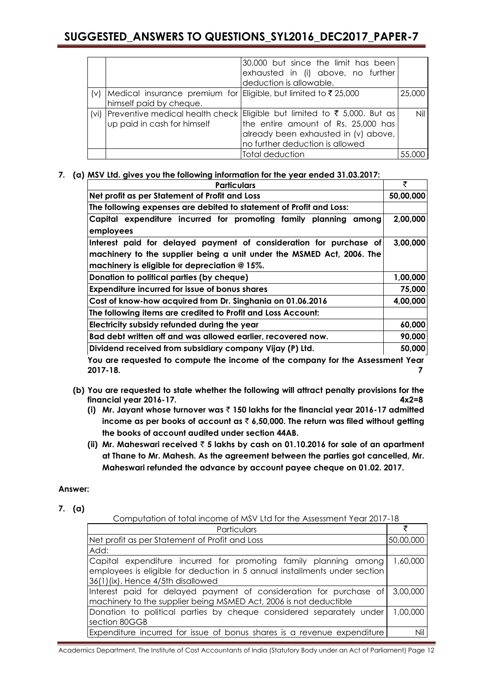|                                                                                                 | 30,000 but since the limit has been<br>exhausted in (i) above, no further<br>deduction is allowable.                                                                                           |        |
|-------------------------------------------------------------------------------------------------|------------------------------------------------------------------------------------------------------------------------------------------------------------------------------------------------|--------|
| (v)   Medical insurance premium for Eligible, but limited to ₹25,000<br>himself paid by cheque. |                                                                                                                                                                                                | 25,000 |
| up paid in cash for himself                                                                     | (vi) Preventive medical health check Eligible but limited to ₹ 5,000. But as<br>the entire amount of Rs. 25,000 has<br>already been exhausted in (v) above,<br>no further deduction is allowed | Nil    |
|                                                                                                 | Total deduction                                                                                                                                                                                | 55,000 |

## **7. (a) MSV Ltd. gives you the following information for the year ended 31.03.2017:**

| <b>Particulars</b>                                                             |           |
|--------------------------------------------------------------------------------|-----------|
| Net profit as per Statement of Profit and Loss                                 | 50,00,000 |
| The following expenses are debited to statement of Profit and Loss:            |           |
| Capital expenditure incurred for promoting family planning among<br>employees  | 2,00,000  |
| Interest paid for delayed payment of consideration for purchase of             | 3,00,000  |
| machinery to the supplier being a unit under the MSMED Act, 2006. The          |           |
| machinery is eligible for depreciation @ 15%.                                  |           |
| Donation to political parties (by cheque)                                      | 1,00,000  |
| <b>Expenditure incurred for issue of bonus shares</b>                          | 75,000    |
| Cost of know-how acquired from Dr. Singhania on 01.06.2016                     | 4,00,000  |
| The following items are credited to Profit and Loss Account:                   |           |
| Electricity subsidy refunded during the year                                   |           |
| Bad debt written off and was allowed earlier, recovered now.                   | 90,000    |
| Dividend received from subsidiary company Vijay (P) Ltd.                       | 50,000    |
| You are requested to compute the income of the company for the Assessment Year |           |

**You are requested to compute the income of the company for the Assessment Year 2017-18. 7**

- **(b) You are requested to state whether the following will attract penalty provisions for the financial year 2016-17. 4x2=8**
	- **(i) Mr. Jayant whose turnover was** ` **150 lakhs for the financial year 2016-17 admitted income as per books of account as** ` **6,50,000. The return was filed without getting the books of account audited under section 44AB.**
	- **(ii) Mr. Maheswari received** ` **5 lakhs by cash on 01.10.2016 for sale of an apartment at Thane to Mr. Mahesh. As the agreement between the parties got cancelled, Mr. Maheswari refunded the advance by account payee cheque on 01.02. 2017.**

## **Answer:**

**7. (a)**

Computation of total income of MSV Ltd for the Assessment Year 2017-18

| Particulars                                                                                                                                                                         |           |
|-------------------------------------------------------------------------------------------------------------------------------------------------------------------------------------|-----------|
| Net profit as per Statement of Profit and Loss                                                                                                                                      | 50,00,000 |
| Add:                                                                                                                                                                                |           |
| Capital expenditure incurred for promoting family planning among<br>employees is eligible for deduction in 5 annual installments under section<br>36(1)(ix). Hence 4/5th disallowed | 1,60,000  |
| Interest paid for delayed payment of consideration for purchase of<br>machinery to the supplier being MSMED Act, 2006 is not deductible                                             | 3,00,000  |
| Donation to political parties by cheque considered separately under<br>section 80GGB                                                                                                | 1.00.000  |
| Expenditure incurred for issue of bonus shares is a revenue expenditure                                                                                                             | Nil I     |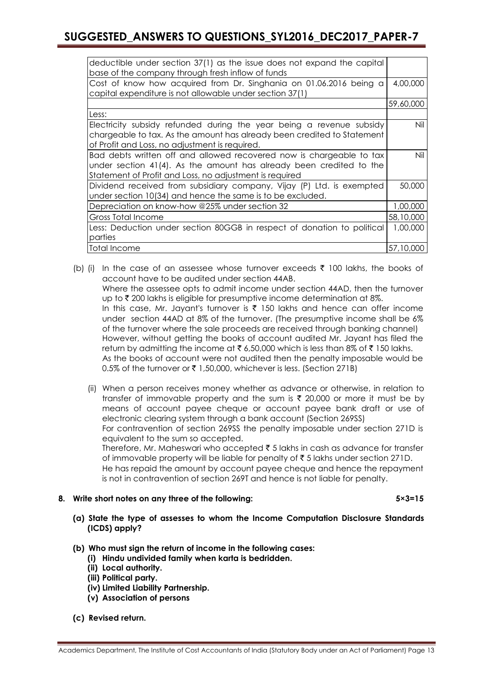| deductible under section 37(1) as the issue does not expand the capital |           |
|-------------------------------------------------------------------------|-----------|
| base of the company through fresh inflow of funds                       |           |
| Cost of know how acquired from Dr. Singhania on 01.06.2016 being a      | 4,00,000  |
| capital expenditure is not allowable under section 37(1)                |           |
|                                                                         | 59,60,000 |
|                                                                         |           |
| Less:                                                                   |           |
| Electricity subsidy refunded during the year being a revenue subsidy    | Nil       |
| chargeable to tax. As the amount has already been credited to Statement |           |
| of Profit and Loss, no adjustment is required.                          |           |
| Bad debts written off and allowed recovered now is chargeable to tax    | Nil       |
| under section 41(4). As the amount has already been credited to the     |           |
| Statement of Profit and Loss, no adjustment is required                 |           |
|                                                                         |           |
| Dividend received from subsidiary company, Vijay (P) Ltd. is exempted   | 50,000    |
| under section 10(34) and hence the same is to be excluded.              |           |
| Depreciation on know-how @25% under section 32                          | 1,00,000  |
| Gross Total Income                                                      | 58,10,000 |
| Less: Deduction under section 80GGB in respect of donation to political | 1,00,000  |
| parties                                                                 |           |
| Total Income                                                            | 57,10,000 |
|                                                                         |           |

(b) (i) In the case of an assessee whose turnover exceeds  $\bar{\tau}$  100 lakhs, the books of account have to be audited under section 44AB.

Where the assessee opts to admit income under section 44AD, then the turnover up to  $\bar{\tau}$  200 lakhs is eligible for presumptive income determination at 8%.

In this case, Mr. Jayant's turnover is  $\bar{\tau}$  150 lakhs and hence can offer income under section 44AD at 8% of the turnover. (The presumptive income shall be 6% of the turnover where the sale proceeds are received through banking channel) However, without getting the books of account audited Mr. Jayant has filed the return by admitting the income at  $\bar{\tau}$  6,50,000 which is less than 8% of  $\bar{\tau}$  150 lakhs. As the books of account were not audited then the penalty imposable would be 0.5% of the turnover or ₹ 1,50,000, whichever is less. (Section 271B)

(ii) When a person receives money whether as advance or otherwise, in relation to transfer of immovable property and the sum is  $\bar{\tau}$  20,000 or more it must be by means of account payee cheque or account payee bank draft or use of electronic clearing system through a bank account (Section 269SS) For contravention of section 269SS the penalty imposable under section 271D is equivalent to the sum so accepted. Therefore, Mr. Maheswari who accepted  $\bar{\tau}$  5 lakhs in cash as advance for transfer of immovable property will be liable for penalty of  $\bar{\tau}$  5 lakhs under section 271D.

He has repaid the amount by account payee cheque and hence the repayment is not in contravention of section 269T and hence is not liable for penalty.

## **8. Write short notes on any three of the following: 5×3=15**

- **(a) State the type of assesses to whom the Income Computation Disclosure Standards (ICDS) apply?**
- **(b) Who must sign the return of income in the following cases:**
	- **(i) Hindu undivided family when karta is bedridden.**
	- **(ii) Local authority.**
	- **(iii) Political party.**
	- **(iv) Limited Liability Partnership.**
	- **(v) Association of persons**
- **(c) Revised return.**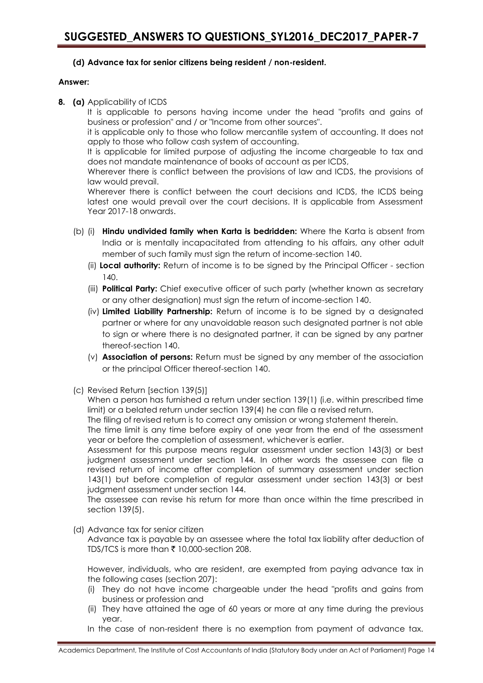## **(d) Advance tax for senior citizens being resident / non-resident.**

## **Answer:**

**8. (a)** Applicability of ICDS

It is applicable to persons having income under the head "profits and gains of business or profession" and / or "Income from other sources".

it is applicable only to those who follow mercantile system of accounting. It does not apply to those who follow cash system of accounting.

It is applicable for limited purpose of adjusting the income chargeable to tax and does not mandate maintenance of books of account as per ICDS,

Wherever there is conflict between the provisions of law and ICDS, the provisions of law would prevail.

Wherever there is conflict between the court decisions and ICDS, the ICDS being latest one would prevail over the court decisions. It is applicable from Assessment Year 2017-18 onwards.

- (b) (i) **Hindu undivided family when Karta is bedridden:** Where the Karta is absent from India or is mentally incapacitated from attending to his affairs, any other adult member of such family must sign the return of income-section 140.
	- (ii) **Local authority:** Return of income is to be signed by the Principal Officer section 140.
	- (iii) **Political Party:** Chief executive officer of such party (whether known as secretary or any other designation) must sign the return of income-section 140.
	- (iv) **Limited Liability Partnership:** Return of income is to be signed by a designated partner or where for any unavoidable reason such designated partner is not able to sign or where there is no designated partner, it can be signed by any partner thereof-section 140.
	- (v) **Association of persons:** Return must be signed by any member of the association or the principal Officer thereof-section 140.
- (c) Revised Return [section 139(5)]

When a person has furnished a return under section 139(1) (i.e. within prescribed time limit) or a belated return under section 139(4) he can file a revised return.

The filing of revised return is to correct any omission or wrong statement therein.

The time limit is any time before expiry of one year from the end of the assessment year or before the completion of assessment, whichever is earlier.

Assessment for this purpose means regular assessment under section 143(3) or best judgment assessment under section 144. In other words the assessee can file a revised return of income after completion of summary assessment under section 143(1) but before completion of regular assessment under section 143(3) or best judgment assessment under section 144.

The assessee can revise his return for more than once within the time prescribed in section 139(5).

(d) Advance tax for senior citizen

Advance tax is payable by an assessee where the total tax liability after deduction of TDS/TCS is more than ₹ 10,000-section 208.

However, individuals, who are resident, are exempted from paying advance tax in the following cases (section 207):

- (i) They do not have income chargeable under the head "profits and gains from business or profession and
- (ii) They have attained the age of 60 years or more at any time during the previous year.
- In the case of non-resident there is no exemption from payment of advance tax.